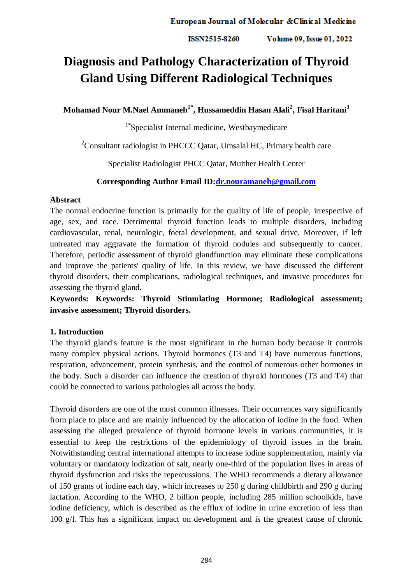ISSN2515-8260 Volume 09, Issue 01, 2022

# **Diagnosis and Pathology Characterization of Thyroid Gland Using Different Radiological Techniques**

**Mohamad Nour M.Nael Ammaneh1\*, Hussameddin Hasan Alali<sup>2</sup> , Fisal Haritani<sup>3</sup>**

1\*Specialist Internal medicine, Westbaymedicare

<sup>2</sup>Consultant radiologist in PHCCC Qatar, Umsalal HC, Primary health care

Specialist Radiologist PHCC Qatar, Muither Health Center

# **Corresponding Author Email ID[:dr.nouramaneh@gmail.com](mailto:dr.nouramaneh@gmail.com)**

# **Abstract**

The normal endocrine function is primarily for the quality of life of people, irrespective of age, sex, and race. Detrimental thyroid function leads to multiple disorders, including cardiovascular, renal, neurologic, foetal development, and sexual drive. Moreover, if left untreated may aggravate the formation of thyroid nodules and subsequently to cancer. Therefore, periodic assessment of thyroid glandfunction may eliminate these complications and improve the patients' quality of life. In this review, we have discussed the different thyroid disorders, their complications, radiological techniques, and invasive procedures for assessing the thyroid gland.

**Keywords: Keywords: Thyroid Stimulating Hormone; Radiological assessment; invasive assessment; Thyroid disorders.** 

# **1. Introduction**

The thyroid gland's feature is the most significant in the human body because it controls many complex physical actions. Thyroid hormones (T3 and T4) have numerous functions, respiration, advancement, protein synthesis, and the control of numerous other hormones in the body. Such a disorder can influence the creation of thyroid hormones (T3 and T4) that could be connected to various pathologies all across the body.

Thyroid disorders are one of the most common illnesses. Their occurrences vary significantly from place to place and are mainly influenced by the allocation of iodine in the food. When assessing the alleged prevalence of thyroid hormone levels in various communities, it is essential to keep the restrictions of the epidemiology of thyroid issues in the brain. Notwithstanding central international attempts to increase iodine supplementation, mainly via voluntary or mandatory iodization of salt, nearly one-third of the population lives in areas of thyroid dysfunction and risks the repercussions. The WHO recommends a dietary allowance of 150 grams of iodine each day, which increases to 250 g during childbirth and 290 g during lactation. According to the WHO, 2 billion people, including 285 million schoolkids, have iodine deficiency, which is described as the efflux of iodine in urine excretion of less than 100 g/l. This has a significant impact on development and is the greatest cause of chronic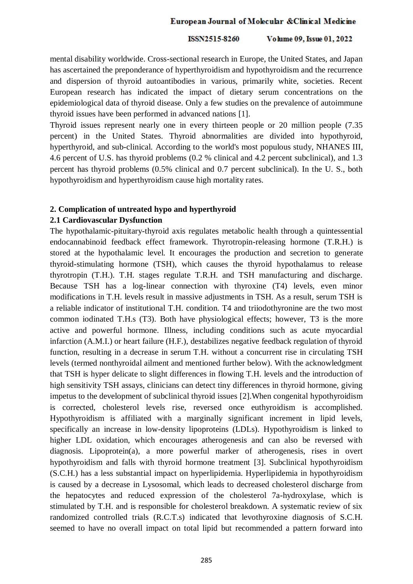#### ISSN2515-8260 Volume 09, Issue 01, 2022

mental disability worldwide. Cross-sectional research in Europe, the United States, and Japan has ascertained the preponderance of hyperthyroidism and hypothyroidism and the recurrence and dispersion of thyroid autoantibodies in various, primarily white, societies. Recent European research has indicated the impact of dietary serum concentrations on the epidemiological data of thyroid disease. Only a few studies on the prevalence of autoimmune thyroid issues have been performed in advanced nations [1].

Thyroid issues represent nearly one in every thirteen people or 20 million people (7.35 percent) in the United States. Thyroid abnormalities are divided into hypothyroid, hyperthyroid, and sub-clinical. According to the world's most populous study, NHANES III, 4.6 percent of U.S. has thyroid problems (0.2 % clinical and 4.2 percent subclinical), and 1.3 percent has thyroid problems (0.5% clinical and 0.7 percent subclinical). In the U. S., both hypothyroidism and hyperthyroidism cause high mortality rates.

### **2. Complication of untreated hypo and hyperthyroid**

### **2.1 Cardiovascular Dysfunction**

The hypothalamic-pituitary-thyroid axis regulates metabolic health through a quintessential endocannabinoid feedback effect framework. Thyrotropin-releasing hormone (T.R.H.) is stored at the hypothalamic level. It encourages the production and secretion to generate thyroid-stimulating hormone (TSH), which causes the thyroid hypothalamus to release thyrotropin (T.H.). T.H. stages regulate T.R.H. and TSH manufacturing and discharge. Because TSH has a log-linear connection with thyroxine (T4) levels, even minor modifications in T.H. levels result in massive adjustments in TSH. As a result, serum TSH is a reliable indicator of institutional T.H. condition. T4 and triiodothyronine are the two most common iodinated T.H.s (T3). Both have physiological effects; however, T3 is the more active and powerful hormone. Illness, including conditions such as acute myocardial infarction (A.M.I.) or heart failure (H.F.), destabilizes negative feedback regulation of thyroid function, resulting in a decrease in serum T.H. without a concurrent rise in circulating TSH levels (termed nonthyroidal ailment and mentioned further below). With the acknowledgment that TSH is hyper delicate to slight differences in flowing T.H. levels and the introduction of high sensitivity TSH assays, clinicians can detect tiny differences in thyroid hormone, giving impetus to the development of subclinical thyroid issues [2].When congenital hypothyroidism is corrected, cholesterol levels rise, reversed once euthyroidism is accomplished. Hypothyroidism is affiliated with a marginally significant increment in lipid levels, specifically an increase in low-density lipoproteins (LDLs). Hypothyroidism is linked to higher LDL oxidation, which encourages atherogenesis and can also be reversed with diagnosis. Lipoprotein(a), a more powerful marker of atherogenesis, rises in overt hypothyroidism and falls with thyroid hormone treatment [3]. Subclinical hypothyroidism (S.C.H.) has a less substantial impact on hyperlipidemia. Hyperlipidemia in hypothyroidism is caused by a decrease in Lysosomal, which leads to decreased cholesterol discharge from the hepatocytes and reduced expression of the cholesterol 7a-hydroxylase, which is stimulated by T.H. and is responsible for cholesterol breakdown. A systematic review of six randomized controlled trials (R.C.T.s) indicated that levothyroxine diagnosis of S.C.H. seemed to have no overall impact on total lipid but recommended a pattern forward into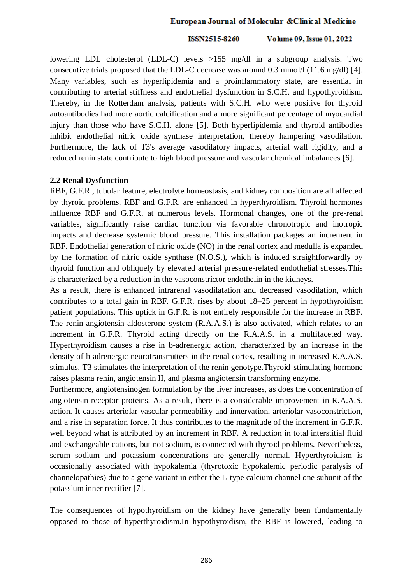#### ISSN2515-8260 Volume 09, Issue 01, 2022

lowering LDL cholesterol (LDL-C) levels >155 mg/dl in a subgroup analysis. Two consecutive trials proposed that the LDL-C decrease was around 0.3 mmol/l (11.6 mg/dl) [4]. Many variables, such as hyperlipidemia and a proinflammatory state, are essential in contributing to arterial stiffness and endothelial dysfunction in S.C.H. and hypothyroidism. Thereby, in the Rotterdam analysis, patients with S.C.H. who were positive for thyroid autoantibodies had more aortic calcification and a more significant percentage of myocardial injury than those who have S.C.H. alone [5]. Both hyperlipidemia and thyroid antibodies inhibit endothelial nitric oxide synthase interpretation, thereby hampering vasodilation. Furthermore, the lack of T3's average vasodilatory impacts, arterial wall rigidity, and a reduced renin state contribute to high blood pressure and vascular chemical imbalances [6].

### **2.2 Renal Dysfunction**

RBF, G.F.R., tubular feature, electrolyte homeostasis, and kidney composition are all affected by thyroid problems. RBF and G.F.R. are enhanced in hyperthyroidism. Thyroid hormones influence RBF and G.F.R. at numerous levels. Hormonal changes, one of the pre-renal variables, significantly raise cardiac function via favorable chronotropic and inotropic impacts and decrease systemic blood pressure. This installation packages an increment in RBF. Endothelial generation of nitric oxide (NO) in the renal cortex and medulla is expanded by the formation of nitric oxide synthase (N.O.S.), which is induced straightforwardly by thyroid function and obliquely by elevated arterial pressure-related endothelial stresses.This is characterized by a reduction in the vasoconstrictor endothelin in the kidneys.

As a result, there is enhanced intrarenal vasodilatation and decreased vasodilation, which contributes to a total gain in RBF. G.F.R. rises by about 18–25 percent in hypothyroidism patient populations. This uptick in G.F.R. is not entirely responsible for the increase in RBF. The renin-angiotensin-aldosterone system (R.A.A.S.) is also activated, which relates to an increment in G.F.R. Thyroid acting directly on the R.A.A.S. in a multifaceted way. Hyperthyroidism causes a rise in b-adrenergic action, characterized by an increase in the density of b-adrenergic neurotransmitters in the renal cortex, resulting in increased R.A.A.S. stimulus. T3 stimulates the interpretation of the renin genotype.Thyroid-stimulating hormone raises plasma renin, angiotensin II, and plasma angiotensin transforming enzyme.

Furthermore, angiotensinogen formulation by the liver increases, as does the concentration of angiotensin receptor proteins. As a result, there is a considerable improvement in R.A.A.S. action. It causes arteriolar vascular permeability and innervation, arteriolar vasoconstriction, and a rise in separation force. It thus contributes to the magnitude of the increment in G.F.R. well beyond what is attributed by an increment in RBF. A reduction in total interstitial fluid and exchangeable cations, but not sodium, is connected with thyroid problems. Nevertheless, serum sodium and potassium concentrations are generally normal. Hyperthyroidism is occasionally associated with hypokalemia (thyrotoxic hypokalemic periodic paralysis of channelopathies) due to a gene variant in either the L-type calcium channel one subunit of the potassium inner rectifier [7].

The consequences of hypothyroidism on the kidney have generally been fundamentally opposed to those of hyperthyroidism.In hypothyroidism, the RBF is lowered, leading to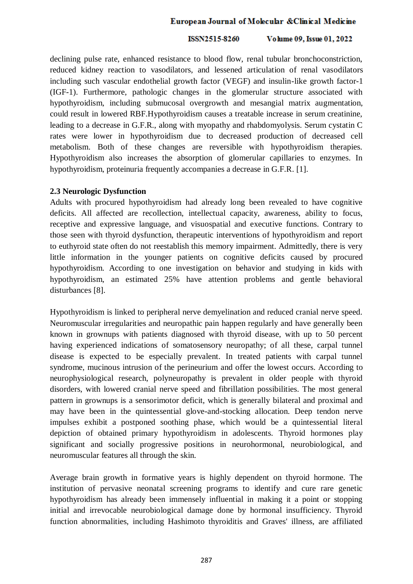#### ISSN2515-8260 Volume 09, Issue 01, 2022

declining pulse rate, enhanced resistance to blood flow, renal tubular bronchoconstriction, reduced kidney reaction to vasodilators, and lessened articulation of renal vasodilators including such vascular endothelial growth factor (VEGF) and insulin-like growth factor-1 (IGF-1). Furthermore, pathologic changes in the glomerular structure associated with hypothyroidism, including submucosal overgrowth and mesangial matrix augmentation, could result in lowered RBF.Hypothyroidism causes a treatable increase in serum creatinine, leading to a decrease in G.F.R., along with myopathy and rhabdomyolysis. Serum cystatin C rates were lower in hypothyroidism due to decreased production of decreased cell metabolism. Both of these changes are reversible with hypothyroidism therapies. Hypothyroidism also increases the absorption of glomerular capillaries to enzymes. In hypothyroidism, proteinuria frequently accompanies a decrease in G.F.R. [1].

### **2.3 Neurologic Dysfunction**

Adults with procured hypothyroidism had already long been revealed to have cognitive deficits. All affected are recollection, intellectual capacity, awareness, ability to focus, receptive and expressive language, and visuospatial and executive functions. Contrary to those seen with thyroid dysfunction, therapeutic interventions of hypothyroidism and report to euthyroid state often do not reestablish this memory impairment. Admittedly, there is very little information in the younger patients on cognitive deficits caused by procured hypothyroidism. According to one investigation on behavior and studying in kids with hypothyroidism, an estimated 25% have attention problems and gentle behavioral disturbances [8].

Hypothyroidism is linked to peripheral nerve demyelination and reduced cranial nerve speed. Neuromuscular irregularities and neuropathic pain happen regularly and have generally been known in grownups with patients diagnosed with thyroid disease, with up to 50 percent having experienced indications of somatosensory neuropathy; of all these, carpal tunnel disease is expected to be especially prevalent. In treated patients with carpal tunnel syndrome, mucinous intrusion of the perineurium and offer the lowest occurs. According to neurophysiological research, polyneuropathy is prevalent in older people with thyroid disorders, with lowered cranial nerve speed and fibrillation possibilities. The most general pattern in grownups is a sensorimotor deficit, which is generally bilateral and proximal and may have been in the quintessential glove-and-stocking allocation. Deep tendon nerve impulses exhibit a postponed soothing phase, which would be a quintessential literal depiction of obtained primary hypothyroidism in adolescents. Thyroid hormones play significant and socially progressive positions in neurohormonal, neurobiological, and neuromuscular features all through the skin.

Average brain growth in formative years is highly dependent on thyroid hormone. The institution of pervasive neonatal screening programs to identify and cure rare genetic hypothyroidism has already been immensely influential in making it a point or stopping initial and irrevocable neurobiological damage done by hormonal insufficiency. Thyroid function abnormalities, including Hashimoto thyroiditis and Graves' illness, are affiliated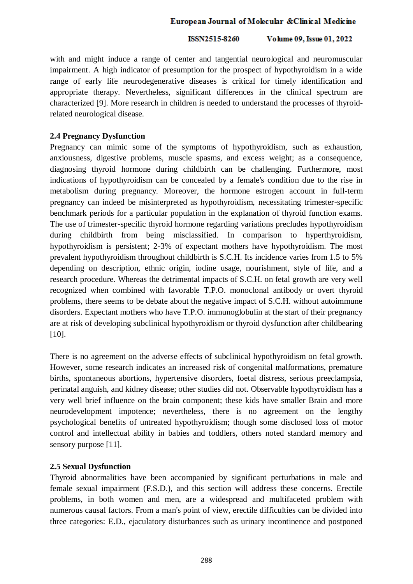#### ISSN2515-8260 Volume 09, Issue 01, 2022

with and might induce a range of center and tangential neurological and neuromuscular impairment. A high indicator of presumption for the prospect of hypothyroidism in a wide range of early life neurodegenerative diseases is critical for timely identification and appropriate therapy. Nevertheless, significant differences in the clinical spectrum are characterized [9]. More research in children is needed to understand the processes of thyroidrelated neurological disease.

# **2.4 Pregnancy Dysfunction**

Pregnancy can mimic some of the symptoms of hypothyroidism, such as exhaustion, anxiousness, digestive problems, muscle spasms, and excess weight; as a consequence, diagnosing thyroid hormone during childbirth can be challenging. Furthermore, most indications of hypothyroidism can be concealed by a female's condition due to the rise in metabolism during pregnancy. Moreover, the hormone estrogen account in full-term pregnancy can indeed be misinterpreted as hypothyroidism, necessitating trimester-specific benchmark periods for a particular population in the explanation of thyroid function exams. The use of trimester-specific thyroid hormone regarding variations precludes hypothyroidism during childbirth from being misclassified. In comparison to hyperthyroidism, hypothyroidism is persistent; 2-3% of expectant mothers have hypothyroidism. The most prevalent hypothyroidism throughout childbirth is S.C.H. Its incidence varies from 1.5 to 5% depending on description, ethnic origin, iodine usage, nourishment, style of life, and a research procedure. Whereas the detrimental impacts of S.C.H. on fetal growth are very well recognized when combined with favorable T.P.O. monoclonal antibody or overt thyroid problems, there seems to be debate about the negative impact of S.C.H. without autoimmune disorders. Expectant mothers who have T.P.O. immunoglobulin at the start of their pregnancy are at risk of developing subclinical hypothyroidism or thyroid dysfunction after childbearing [10].

There is no agreement on the adverse effects of subclinical hypothyroidism on fetal growth. However, some research indicates an increased risk of congenital malformations, premature births, spontaneous abortions, hypertensive disorders, foetal distress, serious preeclampsia, perinatal anguish, and kidney disease; other studies did not. Observable hypothyroidism has a very well brief influence on the brain component; these kids have smaller Brain and more neurodevelopment impotence; nevertheless, there is no agreement on the lengthy psychological benefits of untreated hypothyroidism; though some disclosed loss of motor control and intellectual ability in babies and toddlers, others noted standard memory and sensory purpose [11].

# **2.5 Sexual Dysfunction**

Thyroid abnormalities have been accompanied by significant perturbations in male and female sexual impairment (F.S.D.), and this section will address these concerns. Erectile problems, in both women and men, are a widespread and multifaceted problem with numerous causal factors. From a man's point of view, erectile difficulties can be divided into three categories: E.D., ejaculatory disturbances such as urinary incontinence and postponed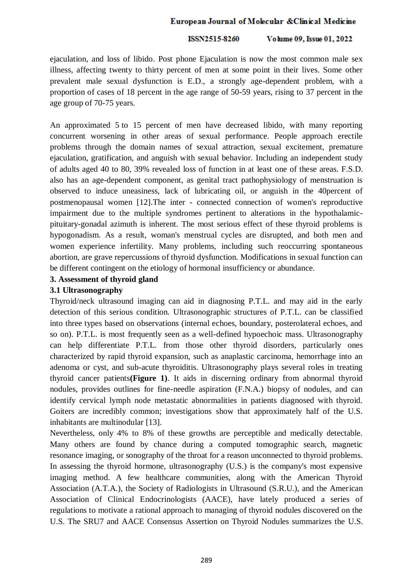#### ISSN2515-8260 Volume 09, Issue 01, 2022

ejaculation, and loss of libido. Post phone Ejaculation is now the most common male sex illness, affecting twenty to thirty percent of men at some point in their lives. Some other prevalent male sexual dysfunction is E.D., a strongly age-dependent problem, with a proportion of cases of 18 percent in the age range of 50-59 years, rising to 37 percent in the age group of 70-75 years.

An approximated 5 to 15 percent of men have decreased libido, with many reporting concurrent worsening in other areas of sexual performance. People approach erectile problems through the domain names of sexual attraction, sexual excitement, premature ejaculation, gratification, and anguish with sexual behavior. Including an independent study of adults aged 40 to 80, 39% revealed loss of function in at least one of these areas. F.S.D. also has an age-dependent component, as genital tract pathophysiology of menstruation is observed to induce uneasiness, lack of lubricating oil, or anguish in the 40percent of postmenopausal women [12].The inter - connected connection of women's reproductive impairment due to the multiple syndromes pertinent to alterations in the hypothalamicpituitary-gonadal azimuth is inherent. The most serious effect of these thyroid problems is hypogonadism. As a result, woman's menstrual cycles are disrupted, and both men and women experience infertility. Many problems, including such reoccurring spontaneous abortion, are grave repercussions of thyroid dysfunction. Modifications in sexual function can be different contingent on the etiology of hormonal insufficiency or abundance.

# **3. Assessment of thyroid gland**

# **3.1 Ultrasonography**

Thyroid/neck ultrasound imaging can aid in diagnosing P.T.L. and may aid in the early detection of this serious condition. Ultrasonographic structures of P.T.L. can be classified into three types based on observations (internal echoes, boundary, posterolateral echoes, and so on). P.T.L. is most frequently seen as a well-defined hypoechoic mass. Ultrasonography can help differentiate P.T.L. from those other thyroid disorders, particularly ones characterized by rapid thyroid expansion, such as anaplastic carcinoma, hemorrhage into an adenoma or cyst, and sub-acute thyroiditis. Ultrasonography plays several roles in treating thyroid cancer patients**(Figure 1)**. It aids in discerning ordinary from abnormal thyroid nodules, provides outlines for fine-needle aspiration (F.N.A.) biopsy of nodules, and can identify cervical lymph node metastatic abnormalities in patients diagnosed with thyroid. Goiters are incredibly common; investigations show that approximately half of the U.S. inhabitants are multinodular [13].

Nevertheless, only 4% to 8% of these growths are perceptible and medically detectable. Many others are found by chance during a computed tomographic search, magnetic resonance imaging, or sonography of the throat for a reason unconnected to thyroid problems. In assessing the thyroid hormone, ultrasonography (U.S.) is the company's most expensive imaging method. A few healthcare communities, along with the American Thyroid Association (A.T.A.), the Society of Radiologists in Ultrasound (S.R.U.), and the American Association of Clinical Endocrinologists (AACE), have lately produced a series of regulations to motivate a rational approach to managing of thyroid nodules discovered on the U.S. The SRU7 and AACE Consensus Assertion on Thyroid Nodules summarizes the U.S.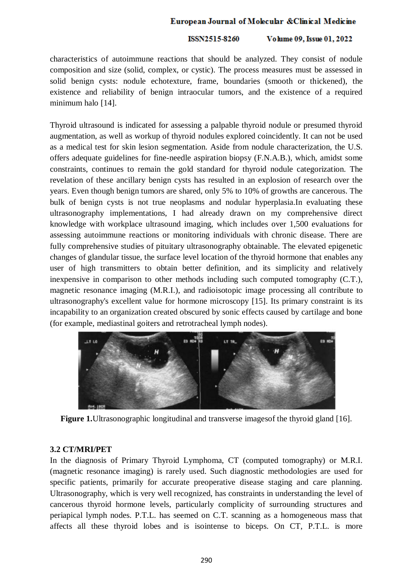#### ISSN2515-8260 Volume 09, Issue 01, 2022

characteristics of autoimmune reactions that should be analyzed. They consist of nodule composition and size (solid, complex, or cystic). The process measures must be assessed in solid benign cysts: nodule echotexture, frame, boundaries (smooth or thickened), the existence and reliability of benign intraocular tumors, and the existence of a required minimum halo [14].

Thyroid ultrasound is indicated for assessing a palpable thyroid nodule or presumed thyroid augmentation, as well as workup of thyroid nodules explored coincidently. It can not be used as a medical test for skin lesion segmentation. Aside from nodule characterization, the U.S. offers adequate guidelines for fine-needle aspiration biopsy (F.N.A.B.), which, amidst some constraints, continues to remain the gold standard for thyroid nodule categorization. The revelation of these ancillary benign cysts has resulted in an explosion of research over the years. Even though benign tumors are shared, only 5% to 10% of growths are cancerous. The bulk of benign cysts is not true neoplasms and nodular hyperplasia.In evaluating these ultrasonography implementations, I had already drawn on my comprehensive direct knowledge with workplace ultrasound imaging, which includes over 1,500 evaluations for assessing autoimmune reactions or monitoring individuals with chronic disease. There are fully comprehensive studies of pituitary ultrasonography obtainable. The elevated epigenetic changes of glandular tissue, the surface level location of the thyroid hormone that enables any user of high transmitters to obtain better definition, and its simplicity and relatively inexpensive in comparison to other methods including such computed tomography (C.T.), magnetic resonance imaging (M.R.I.), and radioisotopic image processing all contribute to ultrasonography's excellent value for hormone microscopy [15]. Its primary constraint is its incapability to an organization created obscured by sonic effects caused by cartilage and bone (for example, mediastinal goiters and retrotracheal lymph nodes).



**Figure 1.**Ultrasonographic longitudinal and transverse imagesof the thyroid gland [16].

# **3.2 CT/MRI/PET**

In the diagnosis of Primary Thyroid Lymphoma, CT (computed tomography) or M.R.I. (magnetic resonance imaging) is rarely used. Such diagnostic methodologies are used for specific patients, primarily for accurate preoperative disease staging and care planning. Ultrasonography, which is very well recognized, has constraints in understanding the level of cancerous thyroid hormone levels, particularly complicity of surrounding structures and periapical lymph nodes. P.T.L. has seemed on C.T. scanning as a homogeneous mass that affects all these thyroid lobes and is isointense to biceps. On CT, P.T.L. is more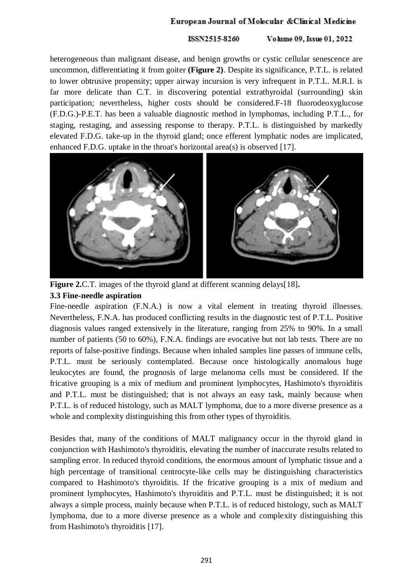### ISSN2515-8260 Volume 09, Issue 01, 2022

heterogeneous than malignant disease, and benign growths or cystic cellular senescence are uncommon, differentiating it from goiter **(Figure 2)**. Despite its significance, P.T.L. is related to lower obtrusive propensity; upper airway incursion is very infrequent in P.T.L. M.R.I. is far more delicate than C.T. in discovering potential extrathyroidal (surrounding) skin participation; nevertheless, higher costs should be considered.F-18 fluorodeoxyglucose (F.D.G.)-P.E.T. has been a valuable diagnostic method in lymphomas, including P.T.L., for staging, restaging, and assessing response to therapy. P.T.L. is distinguished by markedly elevated F.D.G. take-up in the thyroid gland; once efferent lymphatic nodes are implicated, enhanced F.D.G. uptake in the throat's horizontal area(s) is observed [17].



**Figure 2.**C.T. images of the thyroid gland at different scanning delays[18]**. 3.3 Fine-needle aspiration** 

Fine-needle aspiration (F.N.A.) is now a vital element in treating thyroid illnesses. Nevertheless, F.N.A. has produced conflicting results in the diagnostic test of P.T.L. Positive diagnosis values ranged extensively in the literature, ranging from 25% to 90%. In a small number of patients (50 to 60%), F.N.A. findings are evocative but not lab tests. There are no reports of false-positive findings. Because when inhaled samples line passes of immune cells, P.T.L. must be seriously contemplated. Because once histologically anomalous huge leukocytes are found, the prognosis of large melanoma cells must be considered. If the fricative grouping is a mix of medium and prominent lymphocytes, Hashimoto's thyroiditis and P.T.L. must be distinguished; that is not always an easy task, mainly because when P.T.L. is of reduced histology, such as MALT lymphoma, due to a more diverse presence as a whole and complexity distinguishing this from other types of thyroiditis.

Besides that, many of the conditions of MALT malignancy occur in the thyroid gland in conjunction with Hashimoto's thyroiditis, elevating the number of inaccurate results related to sampling error. In reduced thyroid conditions, the enormous amount of lymphatic tissue and a high percentage of transitional centrocyte-like cells may be distinguishing characteristics compared to Hashimoto's thyroiditis. If the fricative grouping is a mix of medium and prominent lymphocytes, Hashimoto's thyroiditis and P.T.L. must be distinguished; it is not always a simple process, mainly because when P.T.L. is of reduced histology, such as MALT lymphoma, due to a more diverse presence as a whole and complexity distinguishing this from Hashimoto's thyroiditis [17].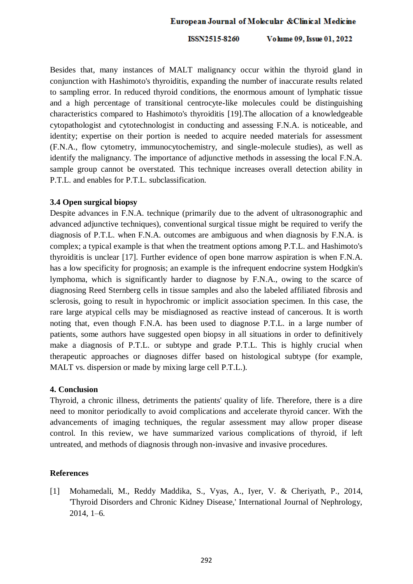ISSN2515-8260 Volume 09, Issue 01, 2022

Besides that, many instances of MALT malignancy occur within the thyroid gland in conjunction with Hashimoto's thyroiditis, expanding the number of inaccurate results related to sampling error. In reduced thyroid conditions, the enormous amount of lymphatic tissue and a high percentage of transitional centrocyte-like molecules could be distinguishing characteristics compared to Hashimoto's thyroiditis [19].The allocation of a knowledgeable cytopathologist and cytotechnologist in conducting and assessing F.N.A. is noticeable, and identity; expertise on their portion is needed to acquire needed materials for assessment (F.N.A., flow cytometry, immunocytochemistry, and single-molecule studies), as well as identify the malignancy. The importance of adjunctive methods in assessing the local F.N.A. sample group cannot be overstated. This technique increases overall detection ability in P.T.L. and enables for P.T.L. subclassification.

### **3.4 Open surgical biopsy**

Despite advances in F.N.A. technique (primarily due to the advent of ultrasonographic and advanced adjunctive techniques), conventional surgical tissue might be required to verify the diagnosis of P.T.L. when F.N.A. outcomes are ambiguous and when diagnosis by F.N.A. is complex; a typical example is that when the treatment options among P.T.L. and Hashimoto's thyroiditis is unclear [17]. Further evidence of open bone marrow aspiration is when F.N.A. has a low specificity for prognosis; an example is the infrequent endocrine system Hodgkin's lymphoma, which is significantly harder to diagnose by F.N.A., owing to the scarce of diagnosing Reed Sternberg cells in tissue samples and also the labeled affiliated fibrosis and sclerosis, going to result in hypochromic or implicit association specimen. In this case, the rare large atypical cells may be misdiagnosed as reactive instead of cancerous. It is worth noting that, even though F.N.A. has been used to diagnose P.T.L. in a large number of patients, some authors have suggested open biopsy in all situations in order to definitively make a diagnosis of P.T.L. or subtype and grade P.T.L. This is highly crucial when therapeutic approaches or diagnoses differ based on histological subtype (for example, MALT vs. dispersion or made by mixing large cell P.T.L.).

# **4. Conclusion**

Thyroid, a chronic illness, detriments the patients' quality of life. Therefore, there is a dire need to monitor periodically to avoid complications and accelerate thyroid cancer. With the advancements of imaging techniques, the regular assessment may allow proper disease control. In this review, we have summarized various complications of thyroid, if left untreated, and methods of diagnosis through non-invasive and invasive procedures.

# **References**

[1] Mohamedali, M., Reddy Maddika, S., Vyas, A., Iyer, V. & Cheriyath, P., 2014, 'Thyroid Disorders and Chronic Kidney Disease,' International Journal of Nephrology, 2014, 1–6.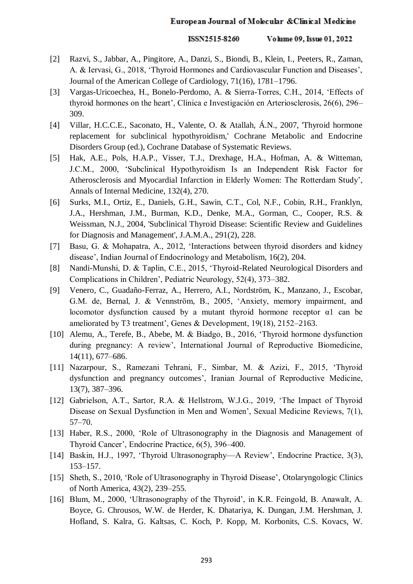#### ISSN2515-8260 Volume 09, Issue 01, 2022

- [2] Razvi, S., Jabbar, A., Pingitore, A., Danzi, S., Biondi, B., Klein, I., Peeters, R., Zaman, A. & Iervasi, G., 2018, 'Thyroid Hormones and Cardiovascular Function and Diseases', Journal of the American College of Cardiology, 71(16), 1781–1796.
- [3] Vargas-Uricoechea, H., Bonelo-Perdomo, A. & Sierra-Torres, C.H., 2014, 'Effects of thyroid hormones on the heart', Clínica e Investigación en Arteriosclerosis, 26(6), 296– 309.
- [4] Villar, H.C.C.E., Saconato, H., Valente, O. & Atallah, Á.N., 2007, 'Thyroid hormone replacement for subclinical hypothyroidism,' Cochrane Metabolic and Endocrine Disorders Group (ed.), Cochrane Database of Systematic Reviews.
- [5] Hak, A.E., Pols, H.A.P., Visser, T.J., Drexhage, H.A., Hofman, A. & Witteman, J.C.M., 2000, 'Subclinical Hypothyroidism Is an Independent Risk Factor for Atherosclerosis and Myocardial Infarction in Elderly Women: The Rotterdam Study', Annals of Internal Medicine, 132(4), 270.
- [6] Surks, M.I., Ortiz, E., Daniels, G.H., Sawin, C.T., Col, N.F., Cobin, R.H., Franklyn, J.A., Hershman, J.M., Burman, K.D., Denke, M.A., Gorman, C., Cooper, R.S. & Weissman, N.J., 2004, 'Subclinical Thyroid Disease: Scientific Review and Guidelines for Diagnosis and Management', J.A.M.A., 291(2), 228.
- [7] Basu, G. & Mohapatra, A., 2012, 'Interactions between thyroid disorders and kidney disease', Indian Journal of Endocrinology and Metabolism, 16(2), 204.
- [8] Nandi-Munshi, D. & Taplin, C.E., 2015, 'Thyroid-Related Neurological Disorders and Complications in Children', Pediatric Neurology, 52(4), 373–382.
- [9] Venero, C., Guadaño-Ferraz, A., Herrero, A.I., Nordström, K., Manzano, J., Escobar, G.M. de, Bernal, J. & Vennström, B., 2005, 'Anxiety, memory impairment, and locomotor dysfunction caused by a mutant thyroid hormone receptor α1 can be ameliorated by T3 treatment', Genes & Development, 19(18), 2152–2163.
- [10] Alemu, A., Terefe, B., Abebe, M. & Biadgo, B., 2016, 'Thyroid hormone dysfunction during pregnancy: A review', International Journal of Reproductive Biomedicine, 14(11), 677–686.
- [11] Nazarpour, S., Ramezani Tehrani, F., Simbar, M. & Azizi, F., 2015, 'Thyroid dysfunction and pregnancy outcomes', Iranian Journal of Reproductive Medicine, 13(7), 387–396.
- [12] Gabrielson, A.T., Sartor, R.A. & Hellstrom, W.J.G., 2019, 'The Impact of Thyroid Disease on Sexual Dysfunction in Men and Women', Sexual Medicine Reviews, 7(1), 57–70.
- [13] Haber, R.S., 2000, 'Role of Ultrasonography in the Diagnosis and Management of Thyroid Cancer', Endocrine Practice, 6(5), 396–400.
- [14] Baskin, H.J., 1997, 'Thyroid Ultrasonography—A Review', Endocrine Practice, 3(3), 153–157.
- [15] Sheth, S., 2010, 'Role of Ultrasonography in Thyroid Disease', Otolaryngologic Clinics of North America, 43(2), 239–255.
- [16] Blum, M., 2000, 'Ultrasonography of the Thyroid', in K.R. Feingold, B. Anawalt, A. Boyce, G. Chrousos, W.W. de Herder, K. Dhatariya, K. Dungan, J.M. Hershman, J. Hofland, S. Kalra, G. Kaltsas, C. Koch, P. Kopp, M. Korbonits, C.S. Kovacs, W.